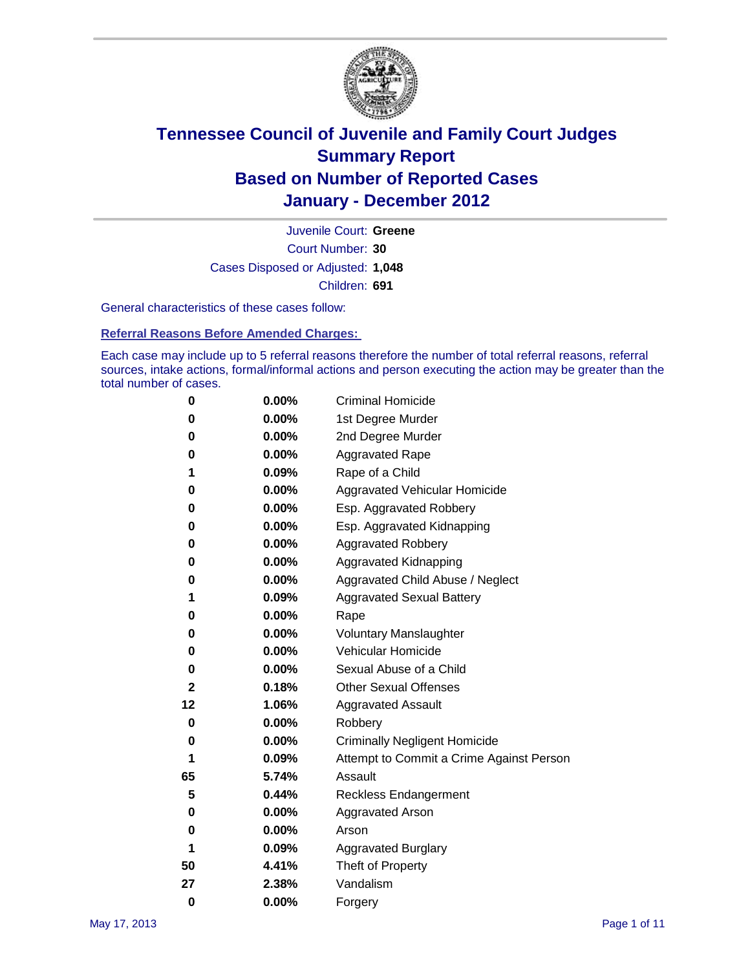

Court Number: **30** Juvenile Court: **Greene** Cases Disposed or Adjusted: **1,048** Children: **691**

General characteristics of these cases follow:

**Referral Reasons Before Amended Charges:** 

Each case may include up to 5 referral reasons therefore the number of total referral reasons, referral sources, intake actions, formal/informal actions and person executing the action may be greater than the total number of cases.

| 0  | 0.00% | <b>Criminal Homicide</b>                 |  |  |  |  |
|----|-------|------------------------------------------|--|--|--|--|
| 0  | 0.00% | 1st Degree Murder                        |  |  |  |  |
| 0  | 0.00% | 2nd Degree Murder                        |  |  |  |  |
| 0  | 0.00% | <b>Aggravated Rape</b>                   |  |  |  |  |
| 1  | 0.09% | Rape of a Child                          |  |  |  |  |
| 0  | 0.00% | Aggravated Vehicular Homicide            |  |  |  |  |
| 0  | 0.00% | Esp. Aggravated Robbery                  |  |  |  |  |
| 0  | 0.00% | Esp. Aggravated Kidnapping               |  |  |  |  |
| 0  | 0.00% | Aggravated Robbery                       |  |  |  |  |
| 0  | 0.00% | Aggravated Kidnapping                    |  |  |  |  |
| 0  | 0.00% | Aggravated Child Abuse / Neglect         |  |  |  |  |
| 1  | 0.09% | <b>Aggravated Sexual Battery</b>         |  |  |  |  |
| 0  | 0.00% | Rape                                     |  |  |  |  |
| 0  | 0.00% | <b>Voluntary Manslaughter</b>            |  |  |  |  |
| 0  | 0.00% | Vehicular Homicide                       |  |  |  |  |
| 0  | 0.00% | Sexual Abuse of a Child                  |  |  |  |  |
| 2  | 0.18% | <b>Other Sexual Offenses</b>             |  |  |  |  |
| 12 | 1.06% | <b>Aggravated Assault</b>                |  |  |  |  |
| 0  | 0.00% | Robbery                                  |  |  |  |  |
| 0  | 0.00% | <b>Criminally Negligent Homicide</b>     |  |  |  |  |
| 1  | 0.09% | Attempt to Commit a Crime Against Person |  |  |  |  |
| 65 | 5.74% | Assault                                  |  |  |  |  |
| 5  | 0.44% | <b>Reckless Endangerment</b>             |  |  |  |  |
| 0  | 0.00% | <b>Aggravated Arson</b>                  |  |  |  |  |
| 0  | 0.00% | Arson                                    |  |  |  |  |
| 1  | 0.09% | <b>Aggravated Burglary</b>               |  |  |  |  |
| 50 | 4.41% | Theft of Property                        |  |  |  |  |
| 27 | 2.38% | Vandalism                                |  |  |  |  |
| 0  | 0.00% | Forgery                                  |  |  |  |  |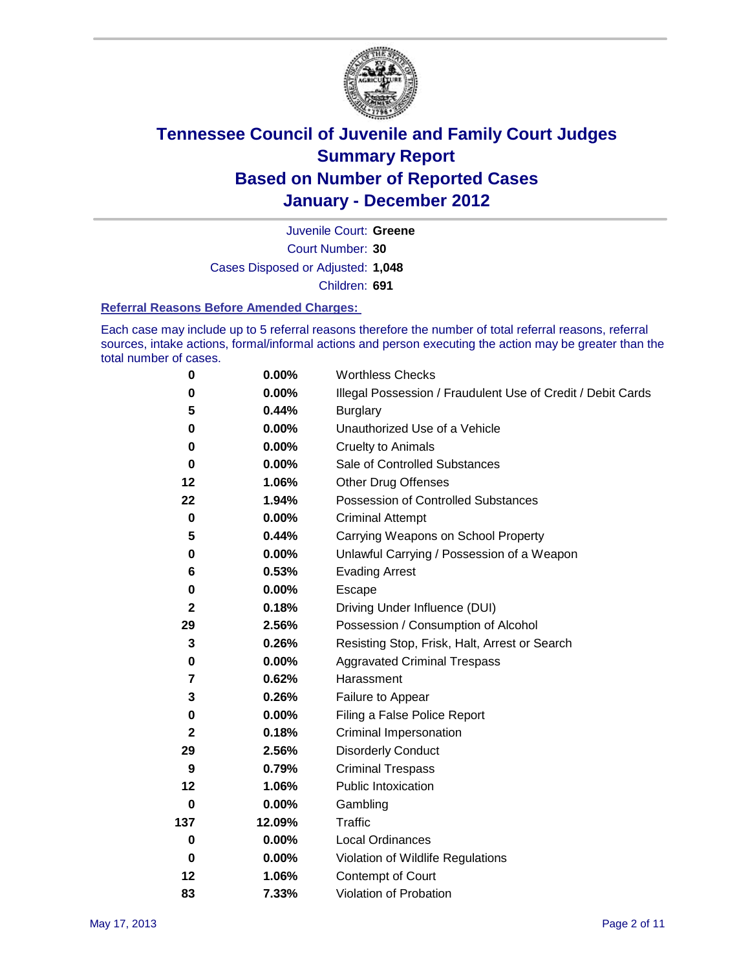

Court Number: **30** Juvenile Court: **Greene** Cases Disposed or Adjusted: **1,048** Children: **691**

#### **Referral Reasons Before Amended Charges:**

Each case may include up to 5 referral reasons therefore the number of total referral reasons, referral sources, intake actions, formal/informal actions and person executing the action may be greater than the total number of cases.

| $\pmb{0}$    | 0.00%    | <b>Worthless Checks</b>                                     |  |  |  |
|--------------|----------|-------------------------------------------------------------|--|--|--|
| 0            | 0.00%    | Illegal Possession / Fraudulent Use of Credit / Debit Cards |  |  |  |
| 5            | 0.44%    | <b>Burglary</b>                                             |  |  |  |
| $\bf{0}$     | $0.00\%$ | Unauthorized Use of a Vehicle                               |  |  |  |
| 0            | $0.00\%$ | <b>Cruelty to Animals</b>                                   |  |  |  |
| $\bf{0}$     | $0.00\%$ | Sale of Controlled Substances                               |  |  |  |
| 12           | 1.06%    | <b>Other Drug Offenses</b>                                  |  |  |  |
| 22           | 1.94%    | Possession of Controlled Substances                         |  |  |  |
| $\mathbf 0$  | $0.00\%$ | <b>Criminal Attempt</b>                                     |  |  |  |
| 5            | 0.44%    | Carrying Weapons on School Property                         |  |  |  |
| 0            | $0.00\%$ | Unlawful Carrying / Possession of a Weapon                  |  |  |  |
| 6            | 0.53%    | <b>Evading Arrest</b>                                       |  |  |  |
| 0            | 0.00%    | Escape                                                      |  |  |  |
| $\mathbf{2}$ | 0.18%    | Driving Under Influence (DUI)                               |  |  |  |
| 29           | 2.56%    | Possession / Consumption of Alcohol                         |  |  |  |
| 3            | 0.26%    | Resisting Stop, Frisk, Halt, Arrest or Search               |  |  |  |
| 0            | $0.00\%$ | <b>Aggravated Criminal Trespass</b>                         |  |  |  |
| 7            | 0.62%    | Harassment                                                  |  |  |  |
| 3            | 0.26%    | Failure to Appear                                           |  |  |  |
| $\pmb{0}$    | $0.00\%$ | Filing a False Police Report                                |  |  |  |
| $\mathbf{2}$ | 0.18%    | Criminal Impersonation                                      |  |  |  |
| 29           | 2.56%    | <b>Disorderly Conduct</b>                                   |  |  |  |
| 9            | 0.79%    | <b>Criminal Trespass</b>                                    |  |  |  |
| 12           | 1.06%    | <b>Public Intoxication</b>                                  |  |  |  |
| 0            | $0.00\%$ | Gambling                                                    |  |  |  |
| 137          | 12.09%   | <b>Traffic</b>                                              |  |  |  |
| 0            | $0.00\%$ | Local Ordinances                                            |  |  |  |
| $\mathbf 0$  | $0.00\%$ | Violation of Wildlife Regulations                           |  |  |  |
| 12           | 1.06%    | Contempt of Court                                           |  |  |  |
| 83           | 7.33%    | Violation of Probation                                      |  |  |  |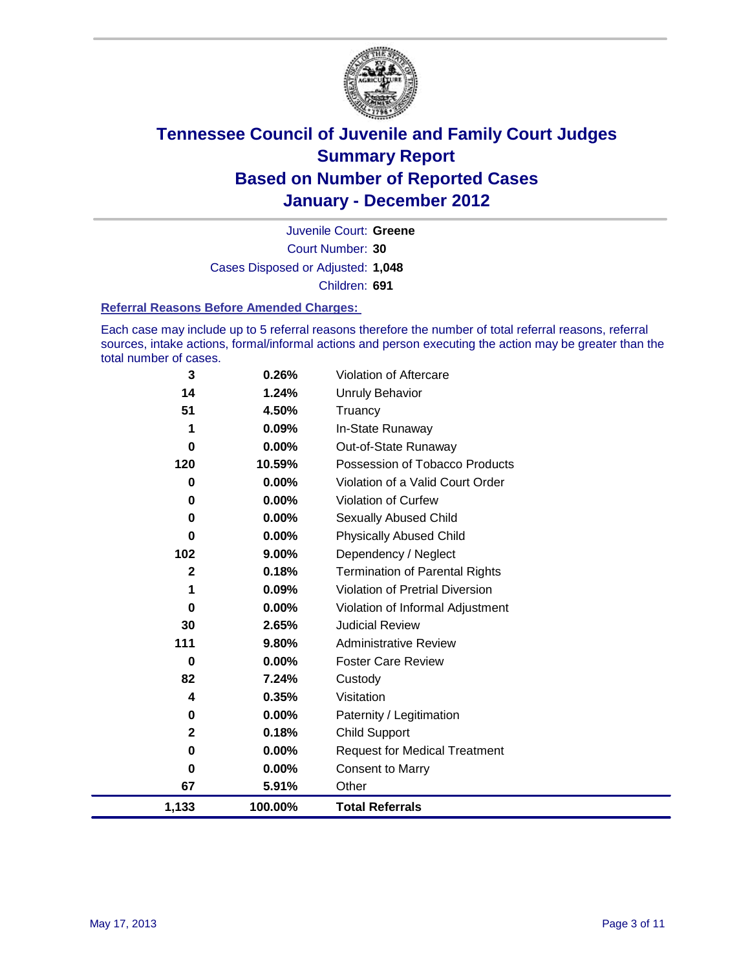

Court Number: **30** Juvenile Court: **Greene** Cases Disposed or Adjusted: **1,048** Children: **691**

#### **Referral Reasons Before Amended Charges:**

Each case may include up to 5 referral reasons therefore the number of total referral reasons, referral sources, intake actions, formal/informal actions and person executing the action may be greater than the total number of cases.

| $\mathbf 3$  | 0.26%   | Violation of Aftercare                 |
|--------------|---------|----------------------------------------|
| 14           | 1.24%   | Unruly Behavior                        |
| 51           | 4.50%   | Truancy                                |
| 1            | 0.09%   | In-State Runaway                       |
| 0            | 0.00%   | Out-of-State Runaway                   |
| 120          | 10.59%  | Possession of Tobacco Products         |
| 0            | 0.00%   | Violation of a Valid Court Order       |
| $\bf{0}$     | 0.00%   | Violation of Curfew                    |
| 0            | 0.00%   | <b>Sexually Abused Child</b>           |
| 0            | 0.00%   | <b>Physically Abused Child</b>         |
| 102          | 9.00%   | Dependency / Neglect                   |
| $\mathbf{2}$ | 0.18%   | <b>Termination of Parental Rights</b>  |
| 1            | 0.09%   | <b>Violation of Pretrial Diversion</b> |
| 0            | 0.00%   | Violation of Informal Adjustment       |
| 30           | 2.65%   | <b>Judicial Review</b>                 |
| 111          | 9.80%   | <b>Administrative Review</b>           |
| $\bf{0}$     | 0.00%   | <b>Foster Care Review</b>              |
| 82           | 7.24%   | Custody                                |
| 4            | 0.35%   | Visitation                             |
| 0            | 0.00%   | Paternity / Legitimation               |
| 2            | 0.18%   | <b>Child Support</b>                   |
| 0            | 0.00%   | <b>Request for Medical Treatment</b>   |
| 0            | 0.00%   | <b>Consent to Marry</b>                |
| 67           | 5.91%   | Other                                  |
| 1,133        | 100.00% | <b>Total Referrals</b>                 |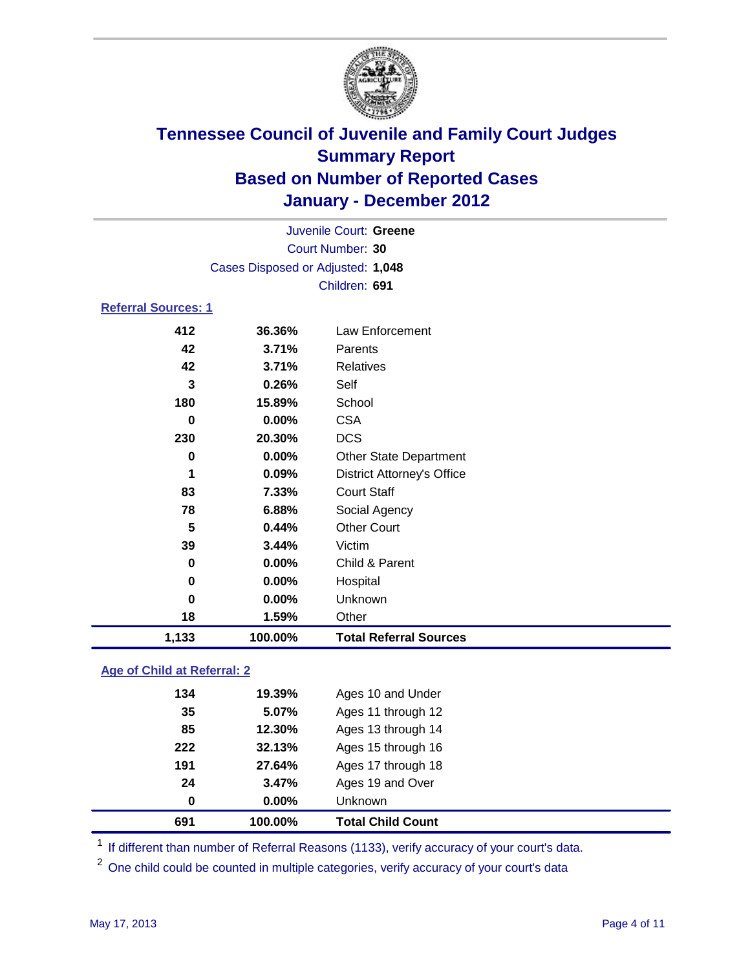

|                            | Juvenile Court: Greene            |                                   |  |  |
|----------------------------|-----------------------------------|-----------------------------------|--|--|
|                            | Court Number: 30                  |                                   |  |  |
|                            | Cases Disposed or Adjusted: 1,048 |                                   |  |  |
|                            |                                   | Children: 691                     |  |  |
| <b>Referral Sources: 1</b> |                                   |                                   |  |  |
| 412                        | 36.36%                            | Law Enforcement                   |  |  |
| 42                         | 3.71%                             | Parents                           |  |  |
| 42                         | 3.71%                             | <b>Relatives</b>                  |  |  |
| 3                          | 0.26%                             | Self                              |  |  |
| 180                        | 15.89%                            | School                            |  |  |
| 0                          | 0.00%                             | <b>CSA</b>                        |  |  |
| 230                        | 20.30%                            | <b>DCS</b>                        |  |  |
| 0                          | 0.00%                             | <b>Other State Department</b>     |  |  |
| 1                          | 0.09%                             | <b>District Attorney's Office</b> |  |  |
| 83                         | 7.33%                             | <b>Court Staff</b>                |  |  |
| 78                         | 6.88%                             | Social Agency                     |  |  |
| 5                          | 0.44%                             | <b>Other Court</b>                |  |  |
| 39                         | 3.44%                             | Victim                            |  |  |
| 0                          | 0.00%                             | Child & Parent                    |  |  |
| 0                          | 0.00%                             | Hospital                          |  |  |
| 0                          | 0.00%                             | Unknown                           |  |  |
| 18                         | 1.59%                             | Other                             |  |  |
| 1,133                      | 100.00%                           | <b>Total Referral Sources</b>     |  |  |
|                            |                                   |                                   |  |  |

### **Age of Child at Referral: 2**

| 32.13%<br>27.64%<br>3.47%<br>$0.00\%$ | Ages 15 through 16<br>Ages 17 through 18<br>Ages 19 and Over<br><b>Unknown</b> |  |
|---------------------------------------|--------------------------------------------------------------------------------|--|
|                                       |                                                                                |  |
|                                       |                                                                                |  |
|                                       |                                                                                |  |
|                                       |                                                                                |  |
| 12.30%                                | Ages 13 through 14                                                             |  |
| 5.07%                                 | Ages 11 through 12                                                             |  |
| 19.39%                                | Ages 10 and Under                                                              |  |
|                                       |                                                                                |  |

<sup>1</sup> If different than number of Referral Reasons (1133), verify accuracy of your court's data.

<sup>2</sup> One child could be counted in multiple categories, verify accuracy of your court's data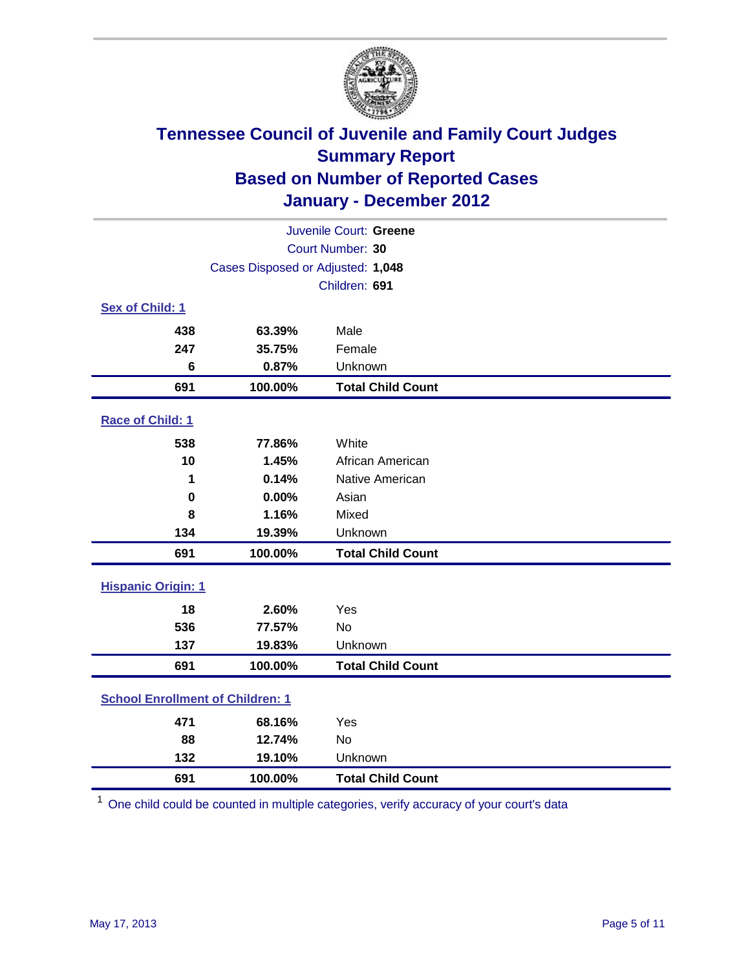

| Juvenile Court: Greene                  |         |                          |  |
|-----------------------------------------|---------|--------------------------|--|
| Court Number: 30                        |         |                          |  |
| Cases Disposed or Adjusted: 1,048       |         |                          |  |
|                                         |         | Children: 691            |  |
| Sex of Child: 1                         |         |                          |  |
| 438                                     | 63.39%  | Male                     |  |
| 247                                     | 35.75%  | Female                   |  |
| 6                                       | 0.87%   | Unknown                  |  |
| 691                                     | 100.00% | <b>Total Child Count</b> |  |
| Race of Child: 1                        |         |                          |  |
| 538                                     | 77.86%  | White                    |  |
| 10                                      | 1.45%   | African American         |  |
| 1                                       | 0.14%   | Native American          |  |
| $\mathbf 0$                             | 0.00%   | Asian                    |  |
| 8                                       | 1.16%   | Mixed                    |  |
| 134                                     | 19.39%  | Unknown                  |  |
| 691                                     | 100.00% | <b>Total Child Count</b> |  |
| <b>Hispanic Origin: 1</b>               |         |                          |  |
| 18                                      | 2.60%   | Yes                      |  |
| 536                                     | 77.57%  | <b>No</b>                |  |
| 137                                     | 19.83%  | Unknown                  |  |
| 691                                     | 100.00% | <b>Total Child Count</b> |  |
| <b>School Enrollment of Children: 1</b> |         |                          |  |
| 471                                     | 68.16%  | Yes                      |  |
| 88                                      | 12.74%  | No                       |  |
| 132                                     | 19.10%  | Unknown                  |  |
| 691                                     | 100.00% | <b>Total Child Count</b> |  |

One child could be counted in multiple categories, verify accuracy of your court's data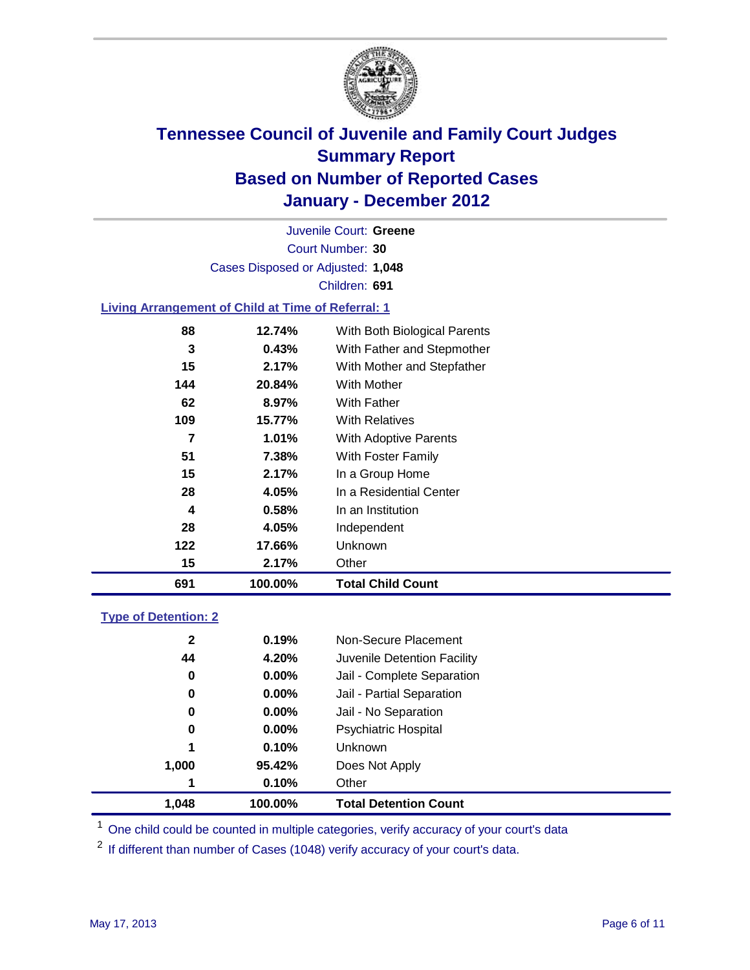

Court Number: **30** Juvenile Court: **Greene** Cases Disposed or Adjusted: **1,048** Children: **691**

### **Living Arrangement of Child at Time of Referral: 1**

| 691 | 100.00% | <b>Total Child Count</b>     |
|-----|---------|------------------------------|
| 15  | 2.17%   | Other                        |
| 122 | 17.66%  | <b>Unknown</b>               |
| 28  | 4.05%   | Independent                  |
| 4   | 0.58%   | In an Institution            |
| 28  | 4.05%   | In a Residential Center      |
| 15  | 2.17%   | In a Group Home              |
| 51  | 7.38%   | With Foster Family           |
| 7   | 1.01%   | With Adoptive Parents        |
| 109 | 15.77%  | <b>With Relatives</b>        |
| 62  | 8.97%   | <b>With Father</b>           |
| 144 | 20.84%  | <b>With Mother</b>           |
| 15  | 2.17%   | With Mother and Stepfather   |
| 3   | 0.43%   | With Father and Stepmother   |
| 88  | 12.74%  | With Both Biological Parents |
|     |         |                              |

### **Type of Detention: 2**

| 1.048        | 100.00%  | <b>Total Detention Count</b> |
|--------------|----------|------------------------------|
| 1            | 0.10%    | Other                        |
| 1,000        | 95.42%   | Does Not Apply               |
| 1            | 0.10%    | Unknown                      |
| 0            | $0.00\%$ | <b>Psychiatric Hospital</b>  |
| 0            | 0.00%    | Jail - No Separation         |
| 0            | $0.00\%$ | Jail - Partial Separation    |
| 0            | 0.00%    | Jail - Complete Separation   |
| 44           | 4.20%    | Juvenile Detention Facility  |
| $\mathbf{2}$ | 0.19%    | Non-Secure Placement         |
|              |          |                              |

<sup>1</sup> One child could be counted in multiple categories, verify accuracy of your court's data

<sup>2</sup> If different than number of Cases (1048) verify accuracy of your court's data.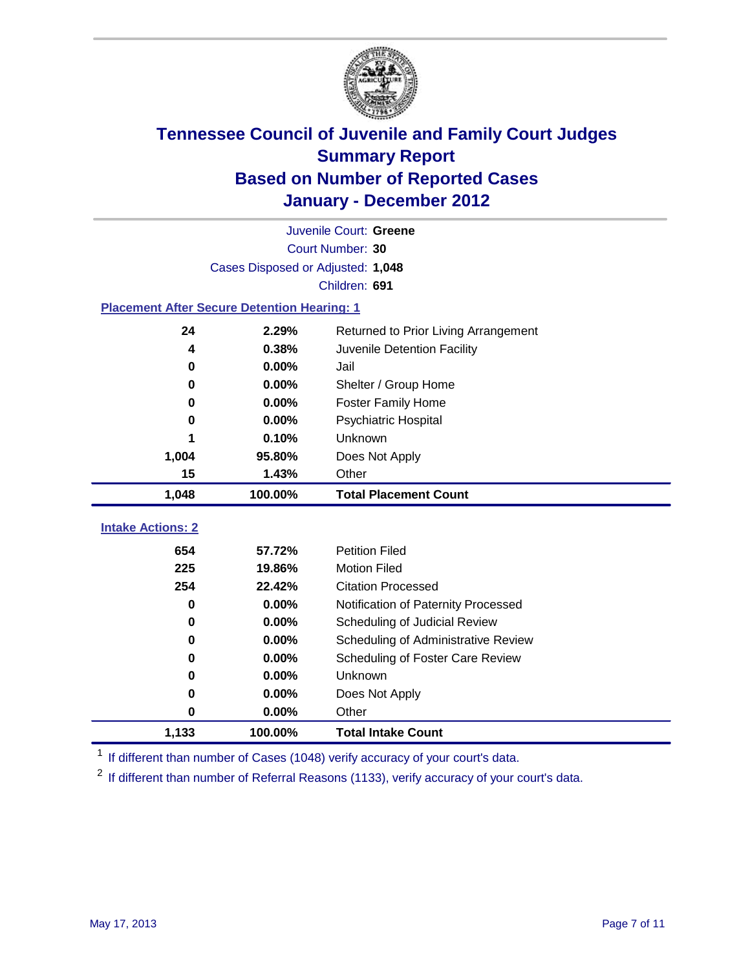

|                                                    | Juvenile Court: Greene               |                                     |  |  |  |  |  |
|----------------------------------------------------|--------------------------------------|-------------------------------------|--|--|--|--|--|
|                                                    | Court Number: 30                     |                                     |  |  |  |  |  |
|                                                    | Cases Disposed or Adjusted: 1,048    |                                     |  |  |  |  |  |
|                                                    | Children: 691                        |                                     |  |  |  |  |  |
| <b>Placement After Secure Detention Hearing: 1</b> |                                      |                                     |  |  |  |  |  |
| 24                                                 | Returned to Prior Living Arrangement |                                     |  |  |  |  |  |
| 4                                                  | 0.38%                                | Juvenile Detention Facility         |  |  |  |  |  |
| $\bf{0}$                                           | 0.00%                                | Jail                                |  |  |  |  |  |
| $\bf{0}$                                           | 0.00%                                | Shelter / Group Home                |  |  |  |  |  |
| 0                                                  | 0.00%                                | <b>Foster Family Home</b>           |  |  |  |  |  |
| 0                                                  | 0.00%                                | Psychiatric Hospital                |  |  |  |  |  |
|                                                    | 0.10%                                | Unknown                             |  |  |  |  |  |
| 1,004                                              | 95.80%                               | Does Not Apply                      |  |  |  |  |  |
| 15                                                 | 1.43%                                | Other                               |  |  |  |  |  |
| 1,048                                              | 100.00%                              | <b>Total Placement Count</b>        |  |  |  |  |  |
|                                                    |                                      |                                     |  |  |  |  |  |
| <b>Intake Actions: 2</b>                           |                                      |                                     |  |  |  |  |  |
| 654                                                | 57.72%                               | <b>Petition Filed</b>               |  |  |  |  |  |
| 225                                                | 19.86%                               | <b>Motion Filed</b>                 |  |  |  |  |  |
| 254                                                | 22.42%                               | <b>Citation Processed</b>           |  |  |  |  |  |
| $\bf{0}$                                           | 0.00%                                | Notification of Paternity Processed |  |  |  |  |  |
| 0                                                  | 0.00%                                | Scheduling of Judicial Review       |  |  |  |  |  |
| 0                                                  | 0.00%                                | Scheduling of Administrative Review |  |  |  |  |  |
| 0                                                  | 0.00%                                | Scheduling of Foster Care Review    |  |  |  |  |  |
| $\bf{0}$                                           | 0.00%                                | Unknown                             |  |  |  |  |  |
| 0                                                  | 0.00%                                | Does Not Apply                      |  |  |  |  |  |
| 0                                                  | 0.00%                                | Other                               |  |  |  |  |  |
| 1,133                                              | 100.00%                              | <b>Total Intake Count</b>           |  |  |  |  |  |

<sup>1</sup> If different than number of Cases (1048) verify accuracy of your court's data.

<sup>2</sup> If different than number of Referral Reasons (1133), verify accuracy of your court's data.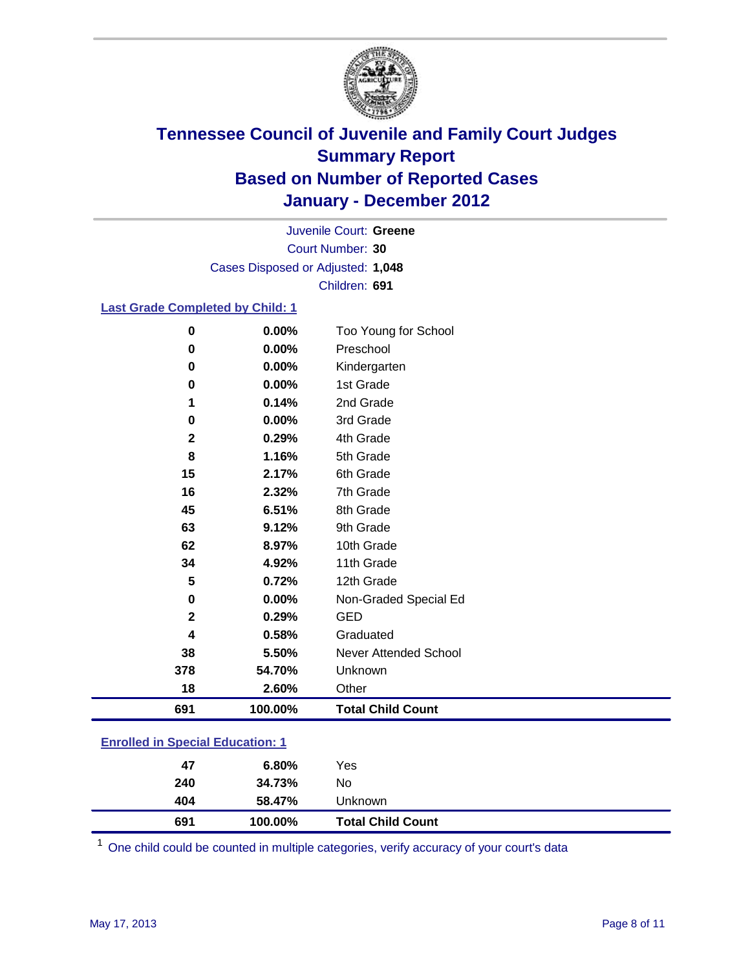

Court Number: **30** Juvenile Court: **Greene** Cases Disposed or Adjusted: **1,048** Children: **691**

### **Last Grade Completed by Child: 1**

| $\pmb{0}$      | 0.00%   | Too Young for School     |
|----------------|---------|--------------------------|
| 0              | 0.00%   | Preschool                |
| 0              | 0.00%   | Kindergarten             |
| $\pmb{0}$      | 0.00%   | 1st Grade                |
| 1              | 0.14%   | 2nd Grade                |
| 0              | 0.00%   | 3rd Grade                |
| $\mathbf{2}$   | 0.29%   | 4th Grade                |
| 8              | 1.16%   | 5th Grade                |
| 15             | 2.17%   | 6th Grade                |
| 16             | 2.32%   | 7th Grade                |
| 45             | 6.51%   | 8th Grade                |
| 63             | 9.12%   | 9th Grade                |
| 62             | 8.97%   | 10th Grade               |
| 34             | 4.92%   | 11th Grade               |
| 5              | 0.72%   | 12th Grade               |
| 0              | 0.00%   | Non-Graded Special Ed    |
| $\overline{2}$ | 0.29%   | <b>GED</b>               |
| 4              | 0.58%   | Graduated                |
| 38             | 5.50%   | Never Attended School    |
| 378            | 54.70%  | Unknown                  |
| 18             | 2.60%   | Other                    |
| 691            | 100.00% | <b>Total Child Count</b> |

### **Enrolled in Special Education: 1**

| 47  | 6.80%   | Yes                      |
|-----|---------|--------------------------|
| 240 | 34.73%  | No                       |
| 404 | 58.47%  | <b>Unknown</b>           |
| 691 | 100.00% | <b>Total Child Count</b> |

One child could be counted in multiple categories, verify accuracy of your court's data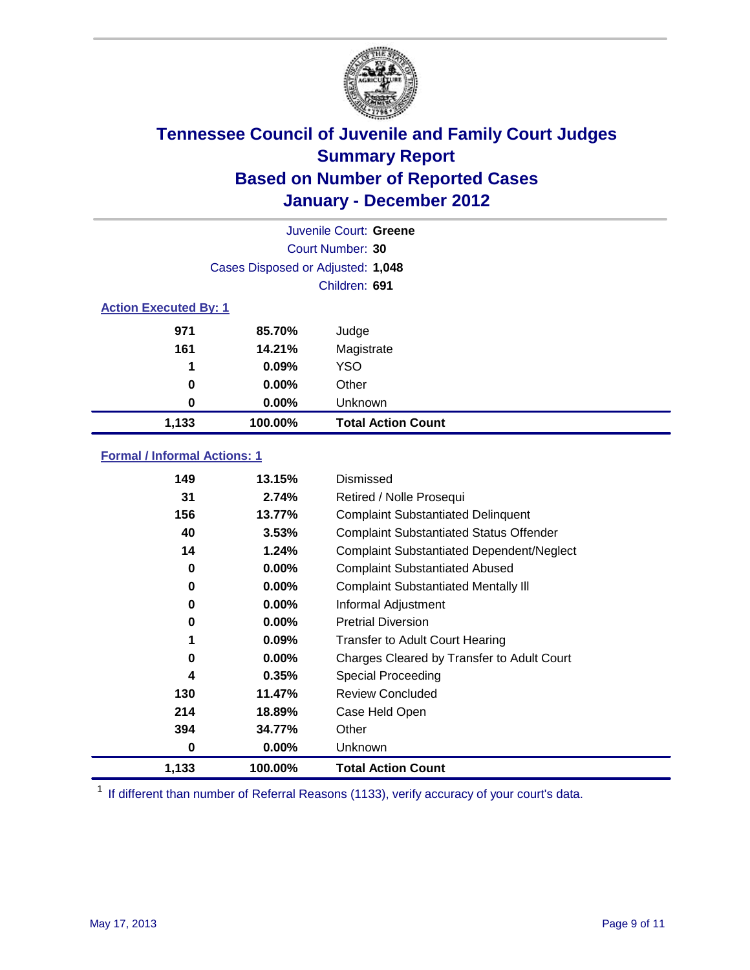

|                              | Juvenile Court: Greene            |                           |  |  |  |
|------------------------------|-----------------------------------|---------------------------|--|--|--|
|                              | Court Number: 30                  |                           |  |  |  |
|                              | Cases Disposed or Adjusted: 1,048 |                           |  |  |  |
|                              | Children: 691                     |                           |  |  |  |
| <b>Action Executed By: 1</b> |                                   |                           |  |  |  |
| 971                          | 85.70%                            | Judge                     |  |  |  |
| 161                          | 14.21%                            | Magistrate                |  |  |  |
| 1                            | 0.09%                             | <b>YSO</b>                |  |  |  |
| 0                            | $0.00\%$                          | Other                     |  |  |  |
| 0                            | 0.00%                             | Unknown                   |  |  |  |
| 1,133                        | 100.00%                           | <b>Total Action Count</b> |  |  |  |

### **Formal / Informal Actions: 1**

| 149   | 13.15%   | Dismissed                                        |
|-------|----------|--------------------------------------------------|
| 31    | 2.74%    | Retired / Nolle Prosequi                         |
| 156   | 13.77%   | <b>Complaint Substantiated Delinquent</b>        |
| 40    | 3.53%    | <b>Complaint Substantiated Status Offender</b>   |
| 14    | 1.24%    | <b>Complaint Substantiated Dependent/Neglect</b> |
| 0     | $0.00\%$ | <b>Complaint Substantiated Abused</b>            |
| 0     | $0.00\%$ | <b>Complaint Substantiated Mentally III</b>      |
| 0     | $0.00\%$ | Informal Adjustment                              |
| 0     | $0.00\%$ | <b>Pretrial Diversion</b>                        |
| 1     | 0.09%    | <b>Transfer to Adult Court Hearing</b>           |
| 0     | $0.00\%$ | Charges Cleared by Transfer to Adult Court       |
| 4     | 0.35%    | <b>Special Proceeding</b>                        |
| 130   | 11.47%   | <b>Review Concluded</b>                          |
| 214   | 18.89%   | Case Held Open                                   |
| 394   | 34.77%   | Other                                            |
| 0     | $0.00\%$ | <b>Unknown</b>                                   |
| 1,133 | 100.00%  | <b>Total Action Count</b>                        |

<sup>1</sup> If different than number of Referral Reasons (1133), verify accuracy of your court's data.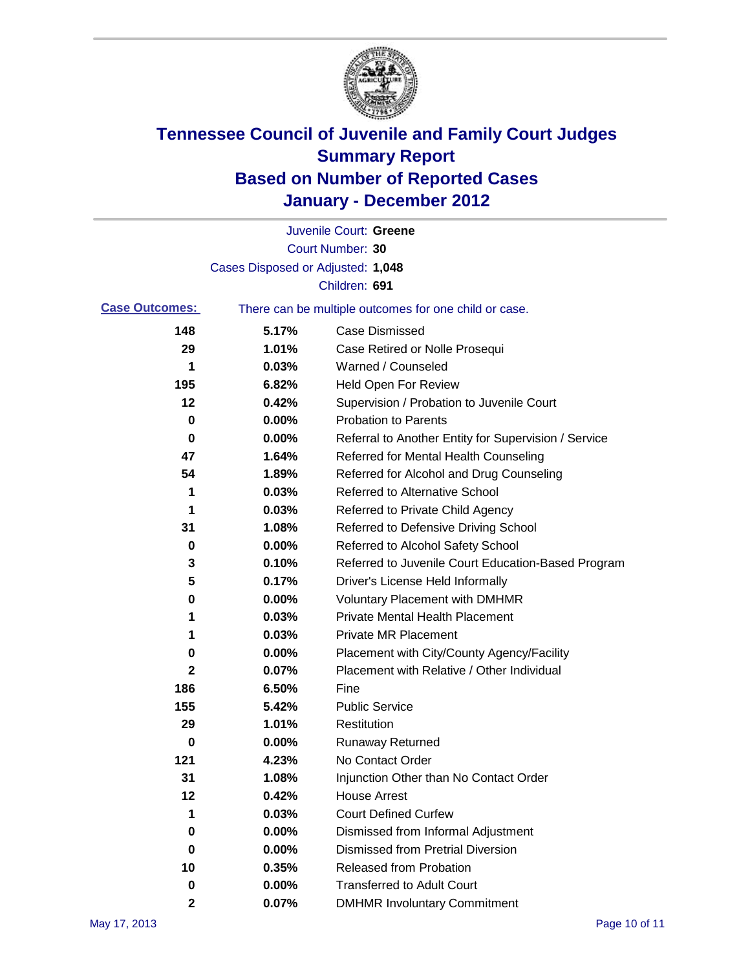

|                       |                                                       | Juvenile Court: Greene                               |
|-----------------------|-------------------------------------------------------|------------------------------------------------------|
|                       |                                                       | Court Number: 30                                     |
|                       | Cases Disposed or Adjusted: 1,048                     |                                                      |
|                       |                                                       | Children: 691                                        |
| <b>Case Outcomes:</b> | There can be multiple outcomes for one child or case. |                                                      |
| 148                   | 5.17%                                                 | <b>Case Dismissed</b>                                |
| 29                    | 1.01%                                                 | Case Retired or Nolle Prosequi                       |
| 1                     | 0.03%                                                 | Warned / Counseled                                   |
| 195                   | 6.82%                                                 | <b>Held Open For Review</b>                          |
| 12                    | 0.42%                                                 | Supervision / Probation to Juvenile Court            |
| 0                     | 0.00%                                                 | <b>Probation to Parents</b>                          |
| 0                     | 0.00%                                                 | Referral to Another Entity for Supervision / Service |
| 47                    | 1.64%                                                 | Referred for Mental Health Counseling                |
| 54                    | 1.89%                                                 | Referred for Alcohol and Drug Counseling             |
| 1                     | 0.03%                                                 | <b>Referred to Alternative School</b>                |
| 1                     | 0.03%                                                 | Referred to Private Child Agency                     |
| 31                    | 1.08%                                                 | Referred to Defensive Driving School                 |
| 0                     | 0.00%                                                 | Referred to Alcohol Safety School                    |
| 3                     | 0.10%                                                 | Referred to Juvenile Court Education-Based Program   |
| 5                     | 0.17%                                                 | Driver's License Held Informally                     |
| 0                     | 0.00%                                                 | <b>Voluntary Placement with DMHMR</b>                |
| 1                     | 0.03%                                                 | <b>Private Mental Health Placement</b>               |
| 1                     | 0.03%                                                 | <b>Private MR Placement</b>                          |
| 0                     | 0.00%                                                 | Placement with City/County Agency/Facility           |
| 2                     | 0.07%                                                 | Placement with Relative / Other Individual           |
| 186                   | 6.50%                                                 | Fine                                                 |
| 155                   | 5.42%                                                 | <b>Public Service</b>                                |
| 29                    | 1.01%                                                 | Restitution                                          |
| 0                     | 0.00%                                                 | <b>Runaway Returned</b>                              |
| 121                   | 4.23%                                                 | No Contact Order                                     |
| 31                    | 1.08%                                                 | Injunction Other than No Contact Order               |
| 12                    | 0.42%                                                 | <b>House Arrest</b>                                  |
| 1                     | 0.03%                                                 | <b>Court Defined Curfew</b>                          |
| 0                     | 0.00%                                                 | Dismissed from Informal Adjustment                   |
| 0                     | 0.00%                                                 | <b>Dismissed from Pretrial Diversion</b>             |
| 10                    | 0.35%                                                 | Released from Probation                              |
| 0                     | 0.00%                                                 | <b>Transferred to Adult Court</b>                    |
| 2                     | 0.07%                                                 | <b>DMHMR Involuntary Commitment</b>                  |